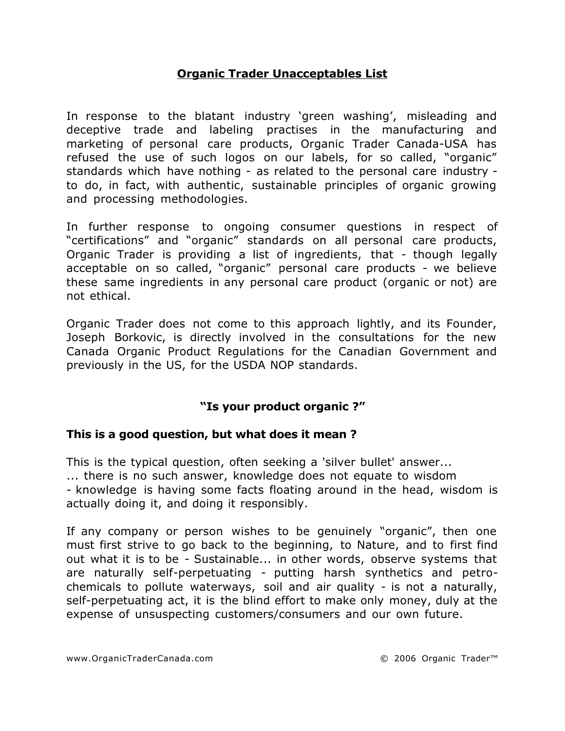### **Organic Trader Unacceptables List**

In response to the blatant industry 'green washing', misleading and deceptive trade and labeling practises in the manufacturing and marketing of personal care products, Organic Trader Canada-USA has refused the use of such logos on our labels, for so called, "organic" standards which have nothing - as related to the personal care industry to do, in fact, with authentic, sustainable principles of organic growing and processing methodologies.

In further response to ongoing consumer questions in respect of "certifications" and "organic" standards on all personal care products, Organic Trader is providing a list of ingredients, that - though legally acceptable on so called, "organic" personal care products - we believe these same ingredients in any personal care product (organic or not) are not ethical.

Organic Trader does not come to this approach lightly, and its Founder, Joseph Borkovic, is directly involved in the consultations for the new Canada Organic Product Regulations for the Canadian Government and previously in the US, for the USDA NOP standards.

# **"Is your product organic ?"**

#### **This is a good question, but what does it mean ?**

This is the typical question, often seeking a 'silver bullet' answer... ... there is no such answer, knowledge does not equate to wisdom - knowledge is having some facts floating around in the head, wisdom is actually doing it, and doing it responsibly.

If any company or person wishes to be genuinely "organic", then one must first strive to go back to the beginning, to Nature, and to first find out what it is to be - Sustainable... in other words, observe systems that are naturally self-perpetuating - putting harsh synthetics and petrochemicals to pollute waterways, soil and air quality - is not a naturally, self-perpetuating act, it is the blind effort to make only money, duly at the expense of unsuspecting customers/consumers and our own future.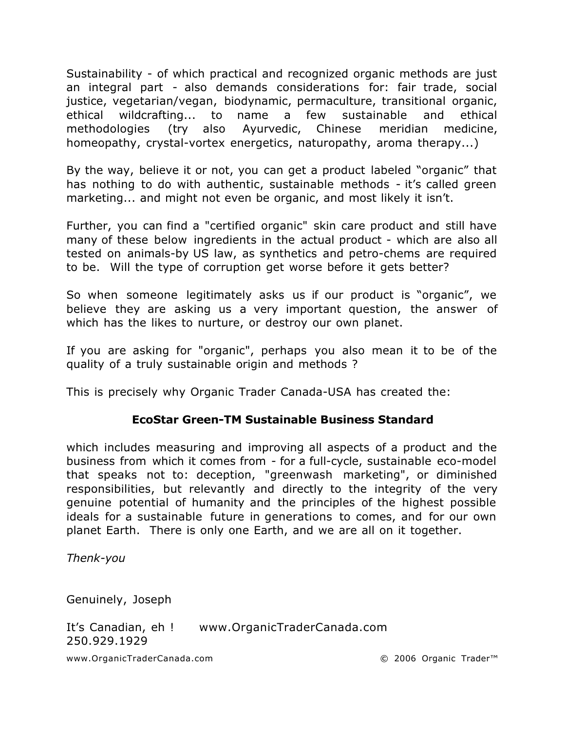Sustainability - of which practical and recognized organic methods are just an integral part - also demands considerations for: fair trade, social justice, vegetarian/vegan, biodynamic, permaculture, transitional organic, ethical wildcrafting... to name a few sustainable and ethical methodologies (try also Ayurvedic, Chinese meridian medicine, homeopathy, crystal-vortex energetics, naturopathy, aroma therapy...)

By the way, believe it or not, you can get a product labeled "organic" that has nothing to do with authentic, sustainable methods - it's called green marketing... and might not even be organic, and most likely it isn't.

Further, you can find a "certified organic" skin care product and still have many of these below ingredients in the actual product - which are also all tested on animals-by US law, as synthetics and petro-chems are required to be. Will the type of corruption get worse before it gets better?

So when someone legitimately asks us if our product is "organic", we believe they are asking us a very important question, the answer of which has the likes to nurture, or destroy our own planet.

If you are asking for "organic", perhaps you also mean it to be of the quality of a truly sustainable origin and methods ?

This is precisely why Organic Trader Canada-USA has created the:

# **EcoStar Green-TM Sustainable Business Standard**

which includes measuring and improving all aspects of a product and the business from which it comes from - for a full-cycle, sustainable eco-model that speaks not to: deception, "greenwash marketing", or diminished responsibilities, but relevantly and directly to the integrity of the very genuine potential of humanity and the principles of the highest possible ideals for a sustainable future in generations to comes, and for our own planet Earth. There is only one Earth, and we are all on it together.

*Thenk-you*

Genuinely, Joseph

It's Canadian, eh ! www.OrganicTraderCanada.com 250.929.1929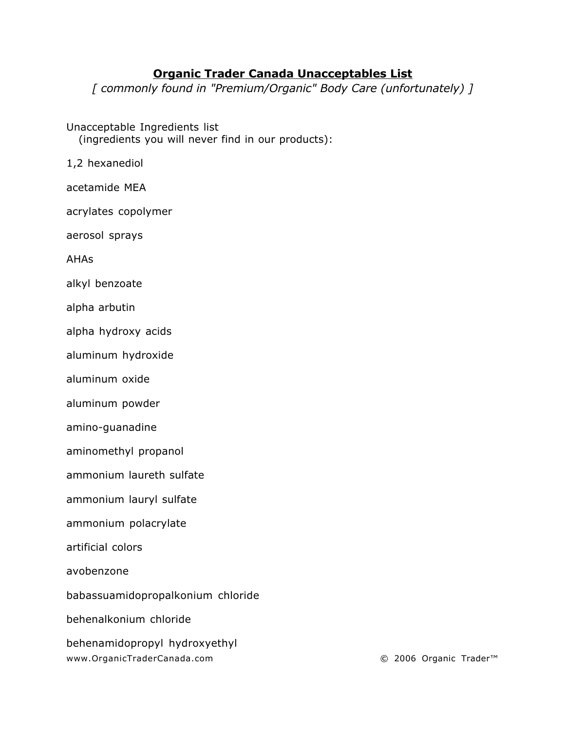### **Organic Trader Canada Unacceptables List**

*[ commonly found in "Premium/Organic" Body Care (unfortunately) ]*

Unacceptable Ingredients list (ingredients you will never find in our products):

1,2 hexanediol

acetamide MEA

acrylates copolymer

aerosol sprays

AHAs

alkyl benzoate

alpha arbutin

alpha hydroxy acids

aluminum hydroxide

aluminum oxide

aluminum powder

amino-guanadine

aminomethyl propanol

ammonium laureth sulfate

ammonium lauryl sulfate

ammonium polacrylate

artificial colors

avobenzone

babassuamidopropalkonium chloride

behenalkonium chloride

behenamidopropyl hydroxyethyl www.OrganicTraderCanada.com © 2006 Organic Trader™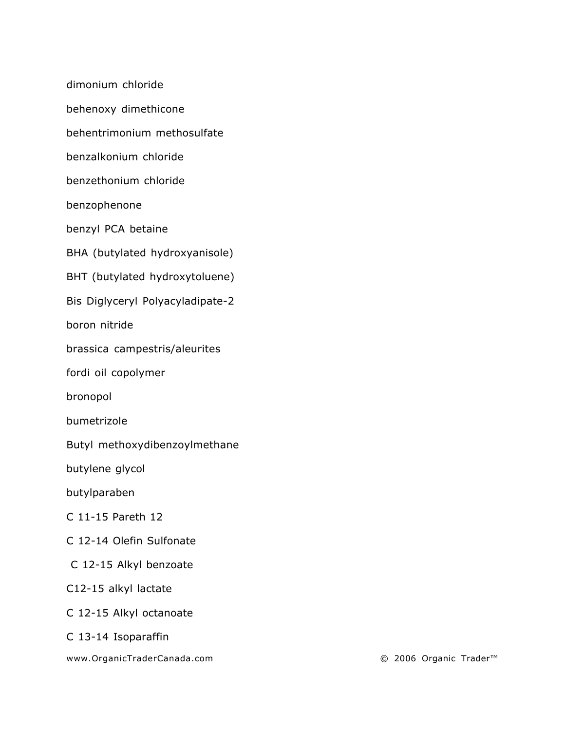dimonium chloride

behenoxy dimethicone

behentrimonium methosulfate

benzalkonium chloride

benzethonium chloride

benzophenone

benzyl PCA betaine

BHA (butylated hydroxyanisole)

BHT (butylated hydroxytoluene)

Bis Diglyceryl Polyacyladipate-2

boron nitride

brassica campestris/aleurites

fordi oil copolymer

bronopol

bumetrizole

Butyl methoxydibenzoylmethane

butylene glycol

butylparaben

C 11-15 Pareth 12

C 12-14 Olefin Sulfonate

C 12-15 Alkyl benzoate

C12-15 alkyl lactate

C 12-15 Alkyl octanoate

C 13-14 Isoparaffin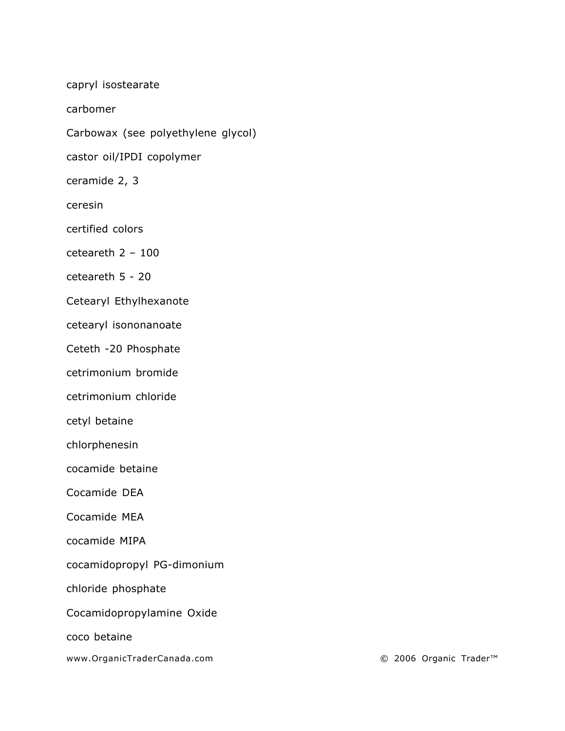capryl isostearate

carbomer

Carbowax (see polyethylene glycol)

castor oil/IPDI copolymer

ceramide 2, 3

ceresin

certified colors

ceteareth 2 – 100

ceteareth 5 - 20

Cetearyl Ethylhexanote

cetearyl isononanoate

Ceteth -20 Phosphate

cetrimonium bromide

cetrimonium chloride

cetyl betaine

chlorphenesin

cocamide betaine

Cocamide DEA

Cocamide MEA

cocamide MIPA

cocamidopropyl PG-dimonium

chloride phosphate

Cocamidopropylamine Oxide

coco betaine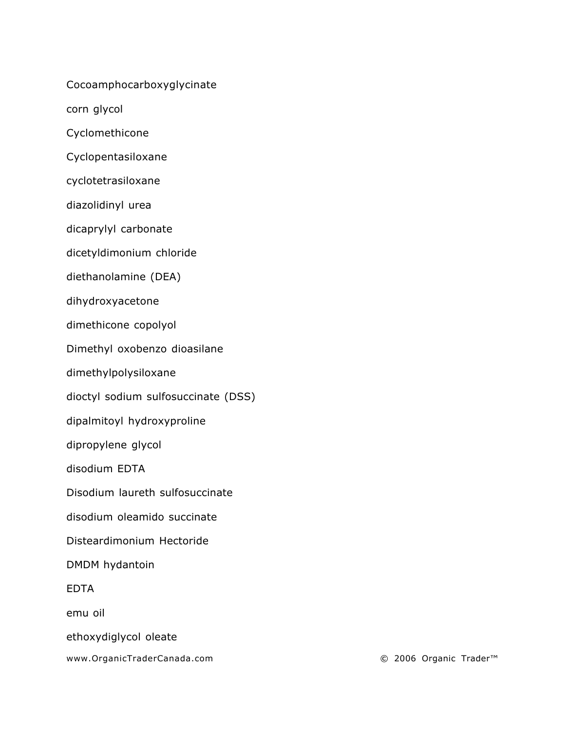Cocoamphocarboxyglycinate

corn glycol

Cyclomethicone

Cyclopentasiloxane

cyclotetrasiloxane

diazolidinyl urea

dicaprylyl carbonate

dicetyldimonium chloride

diethanolamine (DEA)

dihydroxyacetone

dimethicone copolyol

Dimethyl oxobenzo dioasilane

dimethylpolysiloxane

dioctyl sodium sulfosuccinate (DSS)

dipalmitoyl hydroxyproline

dipropylene glycol

disodium EDTA

Disodium laureth sulfosuccinate

disodium oleamido succinate

Disteardimonium Hectoride

DMDM hydantoin

EDTA

emu oil

ethoxydiglycol oleate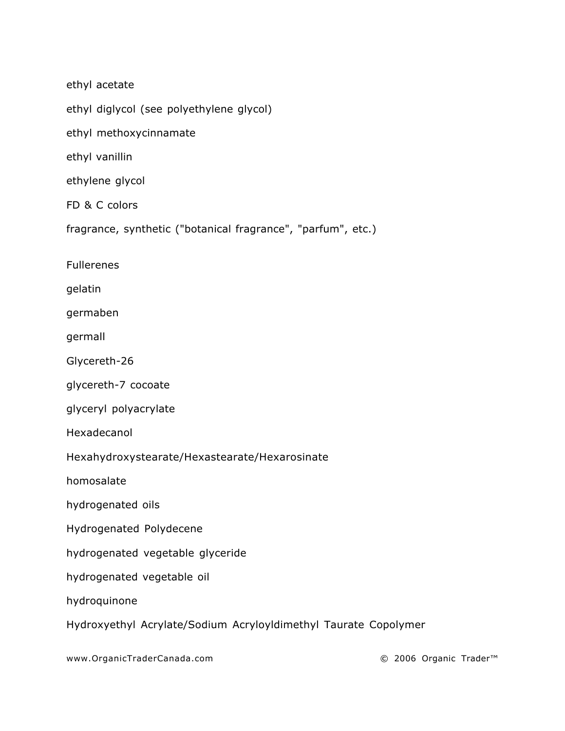ethyl acetate

ethyl diglycol (see polyethylene glycol)

ethyl methoxycinnamate

ethyl vanillin

ethylene glycol

FD & C colors

fragrance, synthetic ("botanical fragrance", "parfum", etc.)

Fullerenes

gelatin

germaben

germall

Glycereth-26

glycereth-7 cocoate

glyceryl polyacrylate

Hexadecanol

Hexahydroxystearate/Hexastearate/Hexarosinate

homosalate

hydrogenated oils

Hydrogenated Polydecene

hydrogenated vegetable glyceride

hydrogenated vegetable oil

hydroquinone

Hydroxyethyl Acrylate/Sodium Acryloyldimethyl Taurate Copolymer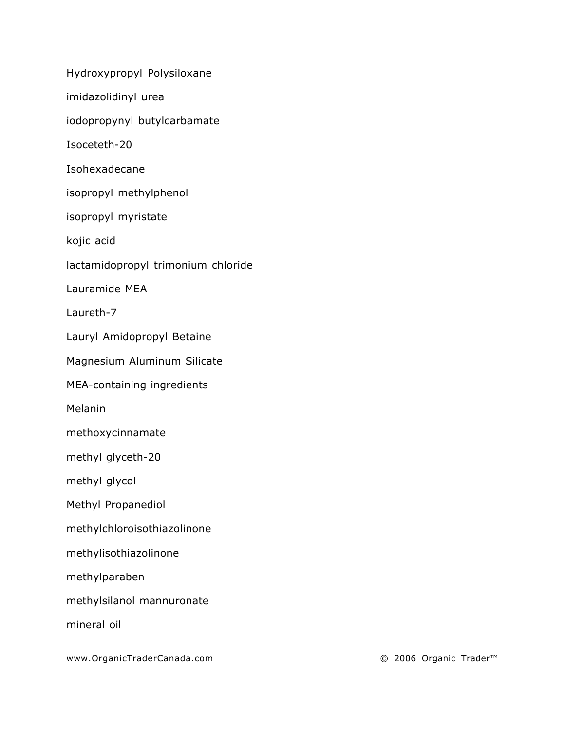Hydroxypropyl Polysiloxane

imidazolidinyl urea

iodopropynyl butylcarbamate

Isoceteth-20

Isohexadecane

isopropyl methylphenol

isopropyl myristate

kojic acid

lactamidopropyl trimonium chloride

Lauramide MEA

Laureth-7

Lauryl Amidopropyl Betaine

Magnesium Aluminum Silicate

MEA-containing ingredients

Melanin

methoxycinnamate

methyl glyceth-20

methyl glycol

Methyl Propanediol

methylchloroisothiazolinone

methylisothiazolinone

methylparaben

methylsilanol mannuronate

mineral oil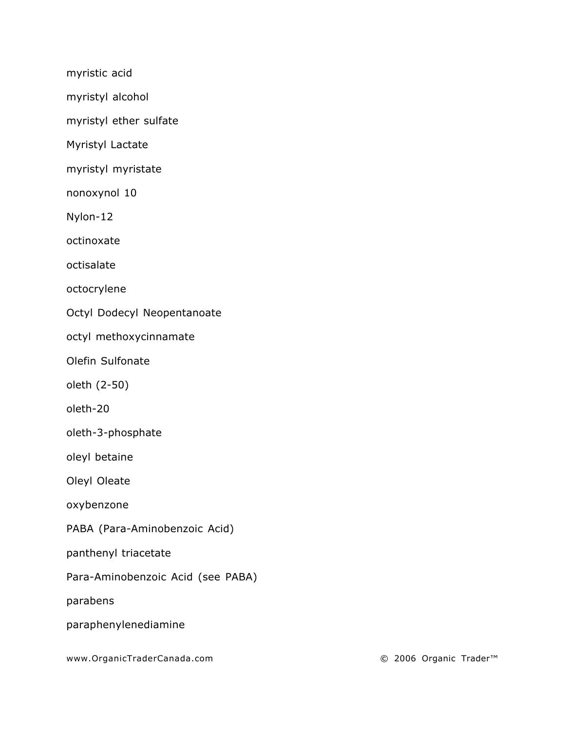myristic acid

myristyl alcohol

myristyl ether sulfate

Myristyl Lactate

myristyl myristate

nonoxynol 10

Nylon-12

octinoxate

octisalate

octocrylene

Octyl Dodecyl Neopentanoate

octyl methoxycinnamate

Olefin Sulfonate

oleth (2-50)

oleth-20

oleth-3-phosphate

oleyl betaine

Oleyl Oleate

oxybenzone

PABA (Para-Aminobenzoic Acid)

panthenyl triacetate

Para-Aminobenzoic Acid (see PABA)

parabens

paraphenylenediamine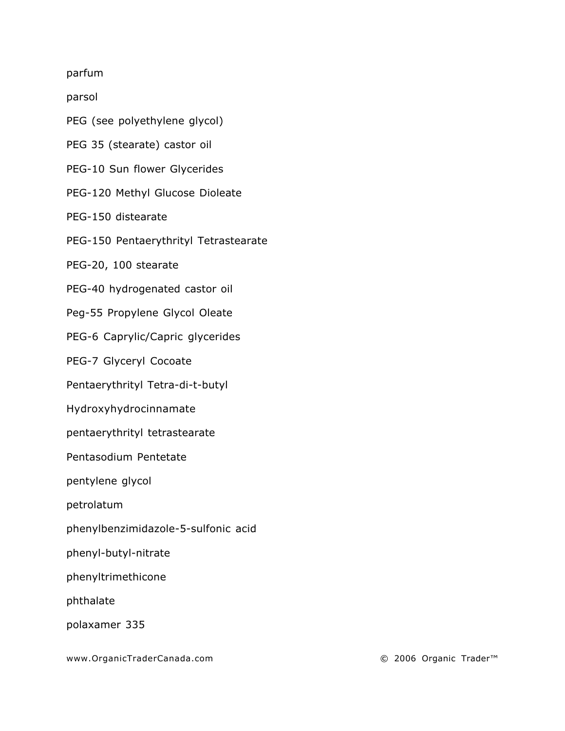parfum

parsol

- PEG (see polyethylene glycol)
- PEG 35 (stearate) castor oil
- PEG-10 Sun flower Glycerides
- PEG-120 Methyl Glucose Dioleate
- PEG-150 distearate
- PEG-150 Pentaerythrityl Tetrastearate
- PEG-20, 100 stearate
- PEG-40 hydrogenated castor oil
- Peg-55 Propylene Glycol Oleate
- PEG-6 Caprylic/Capric glycerides
- PEG-7 Glyceryl Cocoate
- Pentaerythrityl Tetra-di-t-butyl
- Hydroxyhydrocinnamate
- pentaerythrityl tetrastearate
- Pentasodium Pentetate
- pentylene glycol
- petrolatum
- phenylbenzimidazole-5-sulfonic acid
- phenyl-butyl-nitrate
- phenyltrimethicone
- phthalate
- polaxamer 335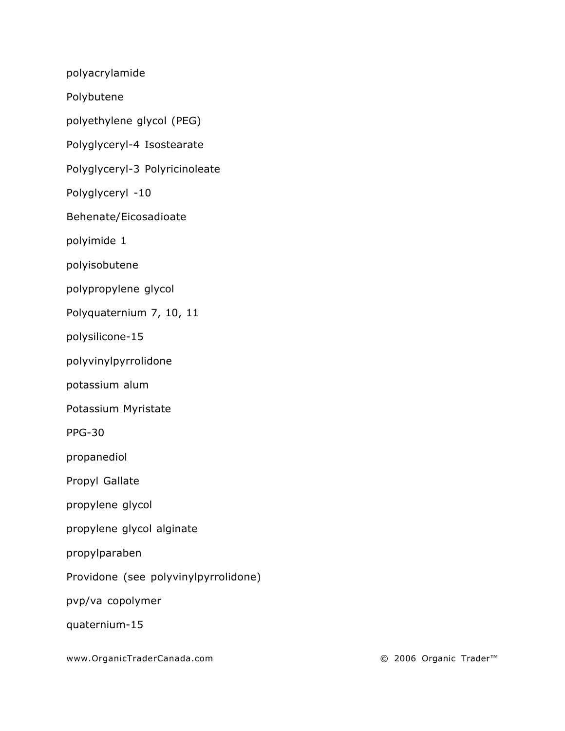polyacrylamide

Polybutene

polyethylene glycol (PEG)

Polyglyceryl-4 Isostearate

Polyglyceryl-3 Polyricinoleate

Polyglyceryl -10

Behenate/Eicosadioate

polyimide 1

polyisobutene

polypropylene glycol

Polyquaternium 7, 10, 11

polysilicone-15

polyvinylpyrrolidone

potassium alum

Potassium Myristate

PPG-30

propanediol

Propyl Gallate

propylene glycol

propylene glycol alginate

propylparaben

Providone (see polyvinylpyrrolidone)

pvp/va copolymer

quaternium-15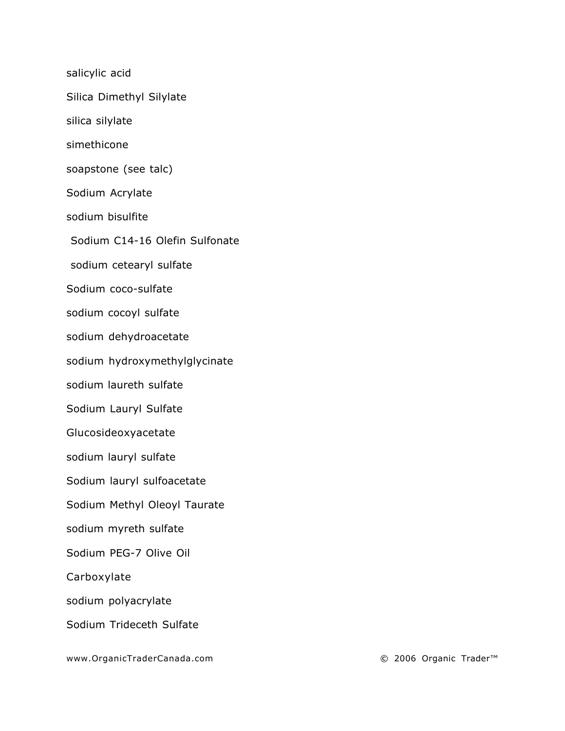salicylic acid

Silica Dimethyl Silylate

silica silylate

simethicone

soapstone (see talc)

Sodium Acrylate

sodium bisulfite

Sodium C14-16 Olefin Sulfonate

sodium cetearyl sulfate

Sodium coco-sulfate

sodium cocoyl sulfate

sodium dehydroacetate

sodium hydroxymethylglycinate

sodium laureth sulfate

Sodium Lauryl Sulfate

Glucosideoxyacetate

sodium lauryl sulfate

Sodium lauryl sulfoacetate

Sodium Methyl Oleoyl Taurate

sodium myreth sulfate

Sodium PEG-7 Olive Oil

Carboxylate

sodium polyacrylate

Sodium Trideceth Sulfate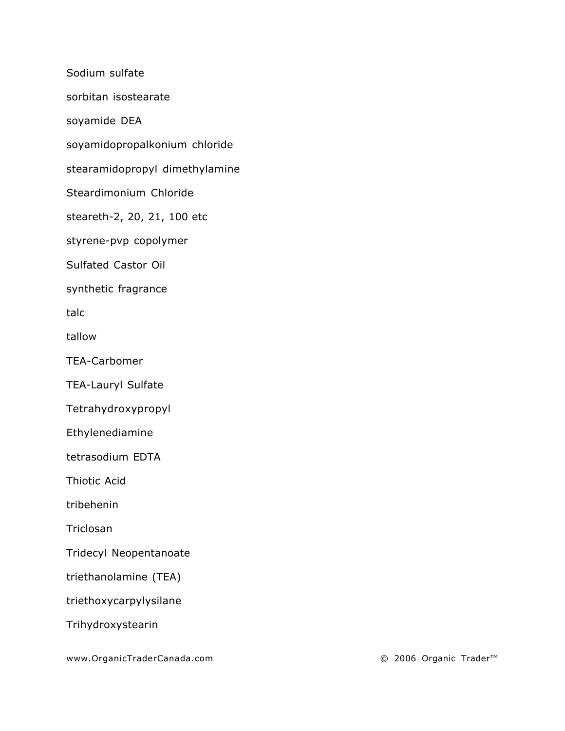Sodium sulfate sorbitan isostearate soyamide DEA soyamidopropalkonium chloride stearamidopropyl dimethylamine Steardimonium Chloride steareth-2, 20, 21, 100 etc styrene-pvp copolymer Sulfated Castor Oil synthetic fragrance talc tallow TEA-Carbomer TEA-Lauryl Sulfate Tetrahydroxypropyl Ethylenediamine tetrasodium EDTA Thiotic Acid tribehenin **Triclosan** Tridecyl Neopentanoate triethanolamine (TEA) triethoxycarpylysilane Trihydroxystearin